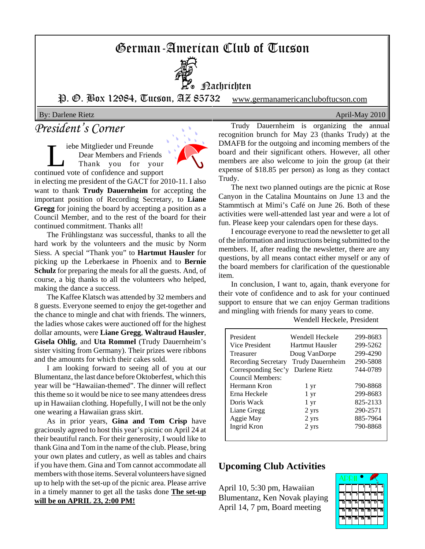## German-American Club of Tucson



**H**achrichten

P. O. Box 12984, Tucson, AZ 85732 www.germanamericancluboftucson.com

By: Darlene Rietz April-May 2010

## *President's Corner*

The Mitglieder und Freunde<br>Dear Members and Frier<br>Thank you for you Dear Members and Friends Thank you for your continued vote of confidence and support



in electing me president of the GACT for 2010-11. I also want to thank **Trudy Dauernheim** for accepting the important position of Recording Secretary, to **Liane Gregg** for joining the board by accepting a position as a Council Member, and to the rest of the board for their continued commitment. Thanks all!

The Frühlingstanz was successful, thanks to all the hard work by the volunteers and the music by Norm Siess. A special "Thank you" to **Hartmut Hausler** for picking up the Leberkaese in Phoenix and to **Bernie Schulz** for preparing the meals for all the guests. And, of course, a big thanks to all the volunteers who helped, making the dance a success.

The Kaffee Klatsch was attended by 32 members and 8 guests. Everyone seemed to enjoy the get-together and the chance to mingle and chat with friends. The winners, the ladies whose cakes were auctioned off for the highest dollar amounts, were **Liane Gregg**, **Waltraud Hausler**, **Gisela Ohlig**, and **Uta Rommel** (Trudy Dauernheim's sister visiting from Germany). Their prizes were ribbons and the amounts for which their cakes sold.

I am looking forward to seeing all of you at our Blumentanz, the last dance before Oktoberfest, which this year will be "Hawaiian-themed". The dinner will reflect this theme so it would be nice to see many attendees dress up in Hawaiian clothing. Hopefully, I will not be the only one wearing a Hawaiian grass skirt.

As in prior years, **Gina and Tom Crisp** have graciously agreed to host this year's picnic on April 24 at their beautiful ranch. For their generosity, I would like to thank Gina and Tom in the name of the club. Please, bring your own plates and cutlery, as well as tables and chairs if you have them. Gina and Tom cannot accommodate all members with those items. Several volunteers have signed up to help with the set-up of the picnic area. Please arrive in a timely manner to get all the tasks done **The set-up will be on APRIL 23, 2:00 PM!**

Trudy Dauernheim is organizing the annual recognition brunch for May 23 (thanks Trudy) at the DMAFB for the outgoing and incoming members of the board and their significant others. However, all other members are also welcome to join the group (at their expense of \$18.85 per person) as long as they contact Trudy.

The next two planned outings are the picnic at Rose Canyon in the Catalina Mountains on June 13 and the Stammtisch at Mimi's Café on June 26. Both of these activities were well-attended last year and were a lot of fun. Please keep your calendars open for these days.

I encourage everyone to read the newsletter to get all of the information and instructions being submitted to the members. If, after reading the newsletter, there are any questions, by all means contact either myself or any of the board members for clarification of the questionable item.

In conclusion, I want to, again, thank everyone for their vote of confidence and to ask for your continued support to ensure that we can enjoy German traditions and mingling with friends for many years to come.

Wendell Heckele, President

| President<br>Vice President<br>Treasurer<br>Recording Secretary<br>Corresponding Sec'y<br>Council Members:<br>Hermann Kron<br>Erna Heckele<br>Doris Wack<br>Liane Gregg<br>Aggie May | Wendell Heckele<br>Hartmut Hausler<br>Doug VanDorpe<br><b>Trudy Dauernheim</b><br>Darlene Rietz<br>1 yr<br>1 yr<br>1 yr<br>2 yrs<br>2 yrs | 299-8683<br>299-5262<br>299-4290<br>290-5808<br>744-0789<br>790-8868<br>299-8683<br>825-2133<br>290-2571<br>885-7964 |
|--------------------------------------------------------------------------------------------------------------------------------------------------------------------------------------|-------------------------------------------------------------------------------------------------------------------------------------------|----------------------------------------------------------------------------------------------------------------------|
| Ingrid Kron                                                                                                                                                                          | 2 yrs                                                                                                                                     | 790-8868                                                                                                             |

#### **Upcoming Club Activities**

April 10, 5:30 pm, Hawaiian Blumentanz, Ken Novak playing April 14, 7 pm, Board meeting

|    |    |    |    | 2  |    |    |
|----|----|----|----|----|----|----|
| 3  | Ğ  | 7  | 2  | ğ  | īī |    |
| 12 | 13 | 14 | īs | ī6 |    | 18 |
| 19 | 20 | 21 | 22 | 23 | 24 | 25 |
| 26 | 27 | 28 | 29 | 30 |    |    |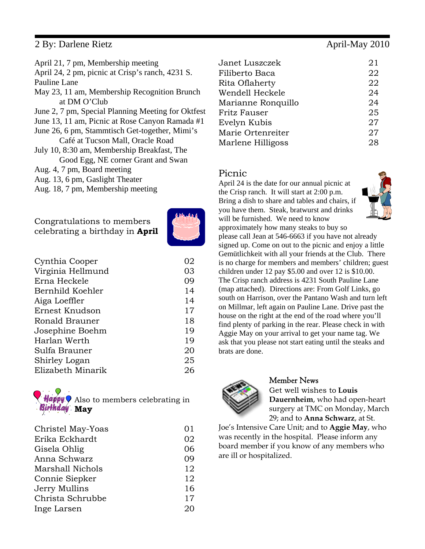#### 2 By: Darlene Rietz April-May 2010

| April 21, 7 pm, Membership meeting                 |
|----------------------------------------------------|
| April 24, 2 pm, picnic at Crisp's ranch, 4231 S.   |
| Pauline Lane                                       |
| May 23, 11 am, Membership Recognition Brunch       |
| at DM O'Club                                       |
| June 2, 7 pm, Special Planning Meeting for Oktfest |
| June 13, 11 am, Picnic at Rose Canyon Ramada #1    |
| June 26, 6 pm, Stammtisch Get-together, Mimi's     |
| Café at Tucson Mall, Oracle Road                   |
| July 10, 8:30 am, Membership Breakfast, The        |
| Good Egg, NE corner Grant and Swan                 |
| Aug. 4, 7 pm, Board meeting                        |
| Aug. 13, 6 pm, Gaslight Theater                    |
| Aug. 18, 7 pm, Membership meeting                  |
|                                                    |

Congratulations to members celebrating a birthday in **April**



| Cynthia Cooper    | 02 |
|-------------------|----|
| Virginia Hellmund | 03 |
| Erna Heckele      | 09 |
| Bernhild Koehler  | 14 |
| Aiga Loeffler     | 14 |
| Ernest Knudson    | 17 |
| Ronald Brauner    | 18 |
| Josephine Boehm   | 19 |
| Harlan Werth      | 19 |
| Sulfa Brauner     | 20 |
| Shirley Logan     | 25 |
| Elizabeth Minarik | 26 |
|                   |    |



| Christel May-Yoas | 01 |
|-------------------|----|
| Erika Eckhardt    | 02 |
| Gisela Ohlig      | 06 |
| Anna Schwarz      | 09 |
| Marshall Nichols  | 12 |
| Connie Siepker    | 12 |
| Jerry Mullins     | 16 |
| Christa Schrubbe  | 17 |
| Inge Larsen       | 20 |

| Janet Luszczek     | 21 |
|--------------------|----|
| Filiberto Baca     | 22 |
| Rita Oflaherty     | 22 |
| Wendell Heckele    | 24 |
| Marianne Ronquillo | 24 |
| Fritz Fauser       | 25 |
| Evelyn Kubis       | 27 |
| Marie Ortenreiter  | 27 |
| Marlene Hilligoss  | 28 |

#### Picnic

April 24 is the date for our annual picnic at the Crisp ranch. It will start at 2:00 p.m. Bring a dish to share and tables and chairs, if you have them. Steak, bratwurst and drinks will be furnished. We need to know approximately how many steaks to buy so please call Jean at 546-6663 if you have not already signed up. Come on out to the picnic and enjoy a little Gemütlichkeit with all your friends at the Club. There is no charge for members and members' children; guest children under 12 pay \$5.00 and over 12 is \$10.00. The Crisp ranch address is 4231 South Pauline Lane (map attached). Directions are: From Golf Links, go south on Harrison, over the Pantano Wash and turn left on Millmar, left again on Pauline Lane. Drive past the house on the right at the end of the road where you'll find plenty of parking in the rear. Please check in with Aggie May on your arrival to get your name tag. We ask that you please not start eating until the steaks and brats are done.



#### Member News

Get well wishes to **Louis Dauernheim**, who had open-heart surgery at TMC on Monday, March 29; and to **Anna Schwarz**, at St.

Joe's Intensive Care Unit; and to **Aggie May**, who was recently in the hospital. Please inform any board member if you know of any members who are ill or hospitalized.